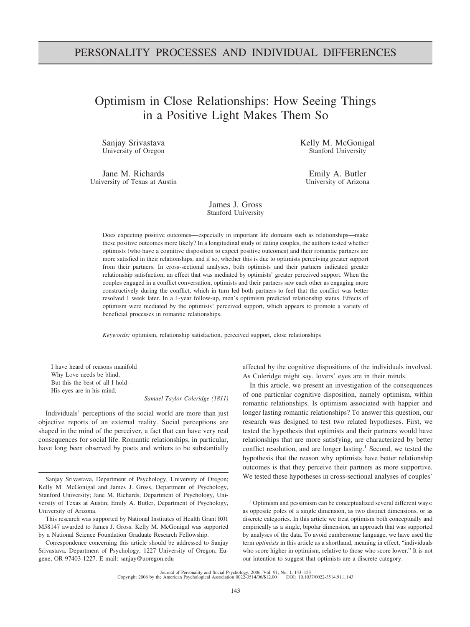## PERSONALITY PROCESSES AND INDIVIDUAL DIFFERENCES

# Optimism in Close Relationships: How Seeing Things in a Positive Light Makes Them So

Sanjay Srivastava University of Oregon

Jane M. Richards University of Texas at Austin Kelly M. McGonigal Stanford University

Emily A. Butler University of Arizona

### James J. Gross Stanford University

Does expecting positive outcomes— especially in important life domains such as relationships—make these positive outcomes more likely? In a longitudinal study of dating couples, the authors tested whether optimists (who have a cognitive disposition to expect positive outcomes) and their romantic partners are more satisfied in their relationships, and if so, whether this is due to optimists perceiving greater support from their partners. In cross-sectional analyses, both optimists and their partners indicated greater relationship satisfaction, an effect that was mediated by optimists' greater perceived support. When the couples engaged in a conflict conversation, optimists and their partners saw each other as engaging more constructively during the conflict, which in turn led both partners to feel that the conflict was better resolved 1 week later. In a 1-year follow-up, men's optimism predicted relationship status. Effects of optimism were mediated by the optimists' perceived support, which appears to promote a variety of beneficial processes in romantic relationships.

*Keywords:* optimism, relationship satisfaction, perceived support, close relationships

I have heard of reasons manifold Why Love needs be blind, But this the best of all I hold— His eyes are in his mind.

—*Samuel Taylor Coleridge (1811)*

Individuals' perceptions of the social world are more than just objective reports of an external reality. Social perceptions are shaped in the mind of the perceiver, a fact that can have very real consequences for social life. Romantic relationships, in particular, have long been observed by poets and writers to be substantially affected by the cognitive dispositions of the individuals involved. As Coleridge might say, lovers' eyes are in their minds.

In this article, we present an investigation of the consequences of one particular cognitive disposition, namely optimism, within romantic relationships. Is optimism associated with happier and longer lasting romantic relationships? To answer this question, our research was designed to test two related hypotheses. First, we tested the hypothesis that optimists and their partners would have relationships that are more satisfying, are characterized by better conflict resolution, and are longer lasting.<sup>1</sup> Second, we tested the hypothesis that the reason why optimists have better relationship outcomes is that they perceive their partners as more supportive. We tested these hypotheses in cross-sectional analyses of couples'

Sanjay Srivastava, Department of Psychology, University of Oregon; Kelly M. McGonigal and James J. Gross, Department of Psychology, Stanford University; Jane M. Richards, Department of Psychology, University of Texas at Austin; Emily A. Butler, Department of Psychology, University of Arizona.

This research was supported by National Institutes of Health Grant R01 M58147 awarded to James J. Gross. Kelly M. McGonigal was supported by a National Science Foundation Graduate Research Fellowship.

Correspondence concerning this article should be addressed to Sanjay Srivastava, Department of Psychology, 1227 University of Oregon, Eugene, OR 97403-1227. E-mail: sanjay@uoregon.edu

<sup>&</sup>lt;sup>1</sup> Optimism and pessimism can be conceptualized several different ways: as opposite poles of a single dimension, as two distinct dimensions, or as discrete categories. In this article we treat optimism both conceptually and empirically as a single, bipolar dimension, an approach that was supported by analyses of the data. To avoid cumbersome language, we have used the term *optimists* in this article as a shorthand, meaning in effect, "individuals who score higher in optimism, relative to those who score lower." It is not our intention to suggest that optimists are a discrete category.

Journal of Personality and Social Psychology, 2006, Vol. 91, No. 1, 143–153<br>Copyright 2006 by the American Psychological Association 0022-3514/06/\$12.00 DOI: 10.1037/0022-3514.91.1.143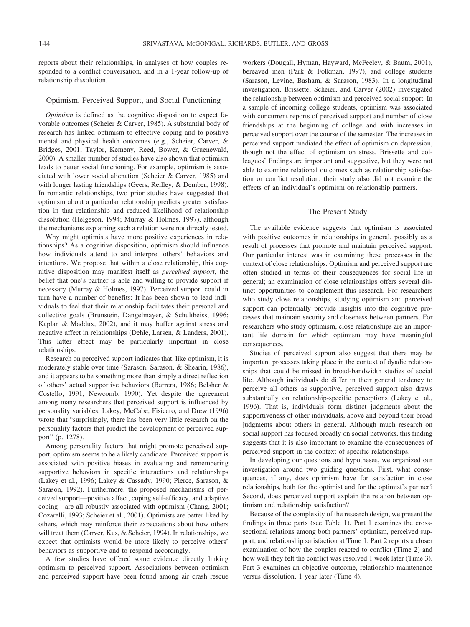reports about their relationships, in analyses of how couples responded to a conflict conversation, and in a 1-year follow-up of relationship dissolution.

#### Optimism, Perceived Support, and Social Functioning

*Optimism* is defined as the cognitive disposition to expect favorable outcomes (Scheier & Carver, 1985). A substantial body of research has linked optimism to effective coping and to positive mental and physical health outcomes (e.g., Scheier, Carver, & Bridges, 2001; Taylor, Kemeny, Reed, Bower, & Gruenewald, 2000). A smaller number of studies have also shown that optimism leads to better social functioning. For example, optimism is associated with lower social alienation (Scheier & Carver, 1985) and with longer lasting friendships (Geers, Reilley, & Dember, 1998). In romantic relationships, two prior studies have suggested that optimism about a particular relationship predicts greater satisfaction in that relationship and reduced likelihood of relationship dissolution (Helgeson, 1994; Murray & Holmes, 1997), although the mechanisms explaining such a relation were not directly tested.

Why might optimists have more positive experiences in relationships? As a cognitive disposition, optimism should influence how individuals attend to and interpret others' behaviors and intentions. We propose that within a close relationship, this cognitive disposition may manifest itself as *perceived support,* the belief that one's partner is able and willing to provide support if necessary (Murray & Holmes, 1997). Perceived support could in turn have a number of benefits: It has been shown to lead individuals to feel that their relationship facilitates their personal and collective goals (Brunstein, Dangelmayer, & Schultheiss, 1996; Kaplan & Maddux, 2002), and it may buffer against stress and negative affect in relationships (Dehle, Larsen, & Landers, 2001). This latter effect may be particularly important in close relationships.

Research on perceived support indicates that, like optimism, it is moderately stable over time (Sarason, Sarason, & Shearin, 1986), and it appears to be something more than simply a direct reflection of others' actual supportive behaviors (Barrera, 1986; Belsher & Costello, 1991; Newcomb, 1990). Yet despite the agreement among many researchers that perceived support is influenced by personality variables, Lakey, McCabe, Fisicaro, and Drew (1996) wrote that "surprisingly, there has been very little research on the personality factors that predict the development of perceived support" (p. 1278).

Among personality factors that might promote perceived support, optimism seems to be a likely candidate. Perceived support is associated with positive biases in evaluating and remembering supportive behaviors in specific interactions and relationships (Lakey et al., 1996; Lakey & Cassady, 1990; Pierce, Sarason, & Sarason, 1992). Furthermore, the proposed mechanisms of perceived support—positive affect, coping self-efficacy, and adaptive coping—are all robustly associated with optimism (Chang, 2001; Cozarelli, 1993; Scheier et al., 2001). Optimists are better liked by others, which may reinforce their expectations about how others will treat them (Carver, Kus, & Scheier, 1994). In relationships, we expect that optimists would be more likely to perceive others' behaviors as supportive and to respond accordingly.

A few studies have offered some evidence directly linking optimism to perceived support. Associations between optimism and perceived support have been found among air crash rescue workers (Dougall, Hyman, Hayward, McFeeley, & Baum, 2001), bereaved men (Park & Folkman, 1997), and college students (Sarason, Levine, Basham, & Sarason, 1983). In a longitudinal investigation, Brissette, Scheier, and Carver (2002) investigated the relationship between optimism and perceived social support. In a sample of incoming college students, optimism was associated with concurrent reports of perceived support and number of close friendships at the beginning of college and with increases in perceived support over the course of the semester. The increases in perceived support mediated the effect of optimism on depression, though not the effect of optimism on stress. Brissette and colleagues' findings are important and suggestive, but they were not able to examine relational outcomes such as relationship satisfaction or conflict resolution; their study also did not examine the effects of an individual's optimism on relationship partners.

#### The Present Study

The available evidence suggests that optimism is associated with positive outcomes in relationships in general, possibly as a result of processes that promote and maintain perceived support. Our particular interest was in examining these processes in the context of close relationships. Optimism and perceived support are often studied in terms of their consequences for social life in general; an examination of close relationships offers several distinct opportunities to complement this research. For researchers who study close relationships, studying optimism and perceived support can potentially provide insights into the cognitive processes that maintain security and closeness between partners. For researchers who study optimism, close relationships are an important life domain for which optimism may have meaningful consequences.

Studies of perceived support also suggest that there may be important processes taking place in the context of dyadic relationships that could be missed in broad-bandwidth studies of social life. Although individuals do differ in their general tendency to perceive all others as supportive, perceived support also draws substantially on relationship-specific perceptions (Lakey et al., 1996). That is, individuals form distinct judgments about the supportiveness of other individuals, above and beyond their broad judgments about others in general. Although much research on social support has focused broadly on social networks, this finding suggests that it is also important to examine the consequences of perceived support in the context of specific relationships.

In developing our questions and hypotheses, we organized our investigation around two guiding questions. First, what consequences, if any, does optimism have for satisfaction in close relationships, both for the optimist and for the optimist's partner? Second, does perceived support explain the relation between optimism and relationship satisfaction?

Because of the complexity of the research design, we present the findings in three parts (see Table 1). Part 1 examines the crosssectional relations among both partners' optimism, perceived support, and relationship satisfaction at Time 1. Part 2 reports a closer examination of how the couples reacted to conflict (Time 2) and how well they felt the conflict was resolved 1 week later (Time 3). Part 3 examines an objective outcome, relationship maintenance versus dissolution, 1 year later (Time 4).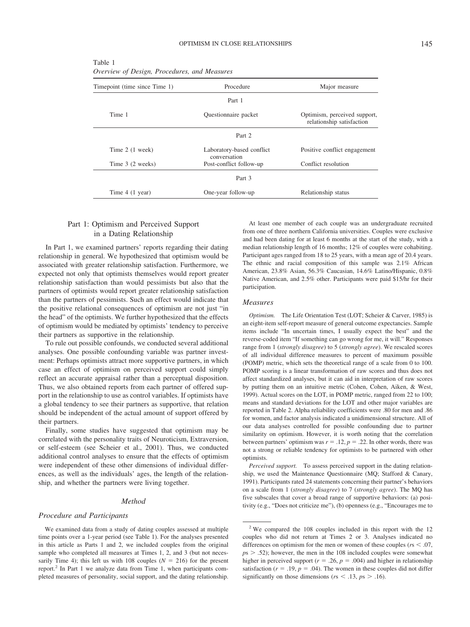| Timepoint (time since Time 1) | Procedure                                 | Major measure                                             |  |  |  |  |
|-------------------------------|-------------------------------------------|-----------------------------------------------------------|--|--|--|--|
|                               | Part 1                                    |                                                           |  |  |  |  |
| Time 1                        | Questionnaire packet                      | Optimism, perceived support,<br>relationship satisfaction |  |  |  |  |
| Part 2                        |                                           |                                                           |  |  |  |  |
| Time 2 (1 week)               | Laboratory-based conflict<br>conversation | Positive conflict engagement                              |  |  |  |  |
| Time 3 (2 weeks)              | Post-conflict follow-up                   | Conflict resolution                                       |  |  |  |  |
| Part 3                        |                                           |                                                           |  |  |  |  |
| Time 4 (1 year)               | One-year follow-up                        | Relationship status                                       |  |  |  |  |

| Table 1                                      |  |
|----------------------------------------------|--|
| Overview of Design, Procedures, and Measures |  |

 $\pm$  11  $\pm$ 

## Part 1: Optimism and Perceived Support in a Dating Relationship

In Part 1, we examined partners' reports regarding their dating relationship in general. We hypothesized that optimism would be associated with greater relationship satisfaction. Furthermore, we expected not only that optimists themselves would report greater relationship satisfaction than would pessimists but also that the partners of optimists would report greater relationship satisfaction than the partners of pessimists. Such an effect would indicate that the positive relational consequences of optimism are not just "in the head" of the optimists. We further hypothesized that the effects of optimism would be mediated by optimists' tendency to perceive their partners as supportive in the relationship.

To rule out possible confounds, we conducted several additional analyses. One possible confounding variable was partner investment: Perhaps optimists attract more supportive partners, in which case an effect of optimism on perceived support could simply reflect an accurate appraisal rather than a perceptual disposition. Thus, we also obtained reports from each partner of offered support in the relationship to use as control variables. If optimists have a global tendency to see their partners as supportive, that relation should be independent of the actual amount of support offered by their partners.

Finally, some studies have suggested that optimism may be correlated with the personality traits of Neuroticism, Extraversion, or self-esteem (see Scheier et al., 2001). Thus, we conducted additional control analyses to ensure that the effects of optimism were independent of these other dimensions of individual differences, as well as the individuals' ages, the length of the relationship, and whether the partners were living together.

#### *Method*

#### *Procedure and Participants*

At least one member of each couple was an undergraduate recruited from one of three northern California universities. Couples were exclusive and had been dating for at least 6 months at the start of the study, with a median relationship length of 16 months; 12% of couples were cohabiting. Participant ages ranged from 18 to 25 years, with a mean age of 20.4 years. The ethnic and racial composition of this sample was 2.1% African American, 23.8% Asian, 56.3% Caucasian, 14.6% Latino/Hispanic, 0.8% Native American, and 2.5% other. Participants were paid \$15/hr for their participation.

#### *Measures*

*Optimism.* The Life Orientation Test (LOT; Scheier & Carver, 1985) is an eight-item self-report measure of general outcome expectancies. Sample items include "In uncertain times, I usually expect the best" and the reverse-coded item "If something can go wrong for me, it will." Responses range from 1 (*strongly disagree*) to 5 (*strongly agree*). We rescaled scores of all individual difference measures to percent of maximum possible (POMP) metric, which sets the theoretical range of a scale from 0 to 100. POMP scoring is a linear transformation of raw scores and thus does not affect standardized analyses, but it can aid in interpretation of raw scores by putting them on an intuitive metric (Cohen, Cohen, Aiken, & West, 1999). Actual scores on the LOT, in POMP metric, ranged from 22 to 100; means and standard deviations for the LOT and other major variables are reported in Table 2. Alpha reliability coefficients were .80 for men and .86 for women, and factor analysis indicated a unidimensional structure. All of our data analyses controlled for possible confounding due to partner similarity on optimism. However, it is worth noting that the correlation between partners' optimism was  $r = .12$ ,  $p = .22$ . In other words, there was not a strong or reliable tendency for optimists to be partnered with other optimists.

*Perceived support.* To assess perceived support in the dating relationship, we used the Maintenance Questionnaire (MQ; Stafford & Canary, 1991). Participants rated 24 statements concerning their partner's behaviors on a scale from 1 (*strongly disagree*) to 7 (*strongly agree*). The MQ has five subscales that cover a broad range of supportive behaviors: (a) positivity (e.g., "Does not criticize me"), (b) openness (e.g., "Encourages me to

We examined data from a study of dating couples assessed at multiple time points over a 1-year period (see Table 1). For the analyses presented in this article as Parts 1 and 2, we included couples from the original sample who completed all measures at Times 1, 2, and 3 (but not necessarily Time 4); this left us with 108 couples  $(N = 216)$  for the present report.2 In Part 1 we analyze data from Time 1, when participants completed measures of personality, social support, and the dating relationship.

<sup>2</sup> We compared the 108 couples included in this report with the 12 couples who did not return at Times 2 or 3. Analyses indicated no differences on optimism for the men or women of these couples ( $rs < .07$ ,  $p<sub>5</sub>$   $>$  .52); however, the men in the 108 included couples were somewhat higher in perceived support ( $r = .26$ ,  $p = .004$ ) and higher in relationship satisfaction ( $r = .19$ ,  $p = .04$ ). The women in these couples did not differ significantly on those dimensions ( $rs < .13$ ,  $ps > .16$ ).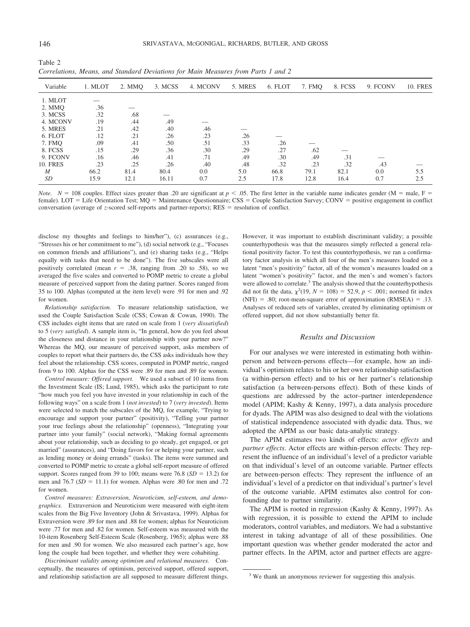| ٠<br>. .<br>× |  |  |  |
|---------------|--|--|--|
|               |  |  |  |

Table 2

| Variable        | 1. MLOT | 2. MMQ | 3. MCSS | 4. MCONV | 5. MRES | 6. FLOT | 7. FMQ | 8. FCSS | 9. FCONV | <b>10. FRES</b> |
|-----------------|---------|--------|---------|----------|---------|---------|--------|---------|----------|-----------------|
| 1. MLOT         |         |        |         |          |         |         |        |         |          |                 |
| 2. MMQ          | .36     |        |         |          |         |         |        |         |          |                 |
| 3. MCSS         | .32     | .68    |         |          |         |         |        |         |          |                 |
| 4. MCONV        | .19     | .44    | .49     |          |         |         |        |         |          |                 |
| 5. MRES         | .21     | .42    | .40     | .46      |         |         |        |         |          |                 |
| 6. FLOT         | .12     | .21    | .26     | .23      | .26     |         |        |         |          |                 |
| 7. FMO          | .09     | .41    | .50     | .51      | .33     | .26     |        |         |          |                 |
| 8. FCSS         | .15     | .29    | .36     | .30      | .29     | .27     | .62    |         |          |                 |
| 9. FCONV        | .16     | .46    | .41     | .71      | .49     | .30     | .49    | .31     |          |                 |
| <b>10. FRES</b> | .23     | .25    | .26     | .40      | .48     | .32     | .23    | .32     | .43      |                 |
| M               | 66.2    | 81.4   | 80.4    | 0.0      | 5.0     | 66.8    | 79.1   | 82.1    | 0.0      | 5.5             |
| SD              | 15.9    | 12.1   | 16.11   | 0.7      | 2.5     | 17.8    | 12.8   | 16.4    | 0.7      | 2.5             |
|                 |         |        |         |          |         |         |        |         |          |                 |

*Correlations, Means, and Standard Deviations for Main Measures from Parts 1 and 2*

*Note.*  $N = 108$  couples. Effect sizes greater than .20 are significant at  $p < .05$ . The first letter in the variable name indicates gender (M = male, F = female). LOT = Life Orientation Test; MQ = Maintenance Questionnaire; CSS = Couple Satisfaction Survey; CONV = positive engagement in conflict conversation (average of *z*-scored self-reports and partner-reports); RES = resolution of conflict.

disclose my thoughts and feelings to him/her"), (c) assurances (e.g., "Stresses his or her commitment to me"), (d) social network (e.g., "Focuses on common friends and affiliations"), and (e) sharing tasks (e.g., "Helps equally with tasks that need to be done"). The five subscales were all positively correlated (mean  $r = .38$ , ranging from .20 to .58), so we averaged the five scales and converted to POMP metric to create a global measure of perceived support from the dating partner. Scores ranged from 35 to 100. Alphas (computed at the item level) were .91 for men and .92 for women.

*Relationship satisfaction.* To measure relationship satisfaction, we used the Couple Satisfaction Scale (CSS; Cowan & Cowan, 1990). The CSS includes eight items that are rated on scale from 1 (*very dissatisfied*) to 5 (*very satisfied*). A sample item is, "In general, how do you feel about the closeness and distance in your relationship with your partner now?" Whereas the MQ, our measure of perceived support, asks members of couples to report what their partners do, the CSS asks individuals how they feel about the relationship. CSS scores, computed in POMP metric, ranged from 9 to 100. Alphas for the CSS were .89 for men and .89 for women.

*Control measure: Offered support.* We used a subset of 10 items from the Investment Scale (IS; Lund, 1985), which asks the participant to rate "how much you feel you have invested in your relationship in each of the following ways" on a scale from 1 (*not invested*) to 7 (*very invested*). Items were selected to match the subscales of the MQ, for example, "Trying to encourage and support your partner" (positivity), "Telling your partner your true feelings about the relationship" (openness), "Integrating your partner into your family" (social network), "Making formal agreements about your relationship, such as deciding to go steady, get engaged, or get married" (assurances), and "Doing favors for or helping your partner, such as lending money or doing errands" (tasks). The items were summed and converted to POMP metric to create a global self-report measure of offered support. Scores ranged from 39 to 100; means were  $76.8$  ( $SD = 13.2$ ) for men and  $76.7$  ( $SD = 11.1$ ) for women. Alphas were .80 for men and .72 for women.

*Control measures: Extraversion, Neuroticism, self-esteem, and demographics.* Extraversion and Neuroticism were measured with eight-item scales from the Big Five Inventory (John & Srivastava, 1999). Alphas for Extraversion were .89 for men and .88 for women; alphas for Neuroticism were .77 for men and .82 for women. Self-esteem was measured with the 10-item Rosenberg Self-Esteem Scale (Rosenberg, 1965); alphas were .88 for men and .90 for women. We also measured each partner's age, how long the couple had been together, and whether they were cohabiting.

*Discriminant validity among optimism and relational measures.* Conceptually, the measures of optimism, perceived support, offered support, and relationship satisfaction are all supposed to measure different things.

However, it was important to establish discriminant validity; a possible counterhypothesis was that the measures simply reflected a general relational positivity factor. To test this counterhypothesis, we ran a confirmatory factor analysis in which all four of the men's measures loaded on a latent "men's positivity" factor, all of the women's measures loaded on a latent "women's positivity" factor, and the men's and women's factors were allowed to correlate.<sup>3</sup> The analysis showed that the counterhypothesis did not fit the data,  $\chi^2(19, N = 108) = 52.9, p < .001$ ; normed fit index (NFI) = .80; root-mean-square error of approximation (RMSEA) = .13. Analyses of reduced sets of variables, created by eliminating optimism or offered support, did not show substantially better fit.

#### *Results and Discussion*

For our analyses we were interested in estimating both withinperson and between-persons effects—for example, how an individual's optimism relates to his or her own relationship satisfaction (a within-person effect) and to his or her partner's relationship satisfaction (a between-persons effect). Both of these kinds of questions are addressed by the actor–partner interdependence model (APIM; Kashy & Kenny, 1997), a data analysis procedure for dyads. The APIM was also designed to deal with the violations of statistical independence associated with dyadic data. Thus, we adopted the APIM as our basic data-analytic strategy.

The APIM estimates two kinds of effects: *actor effects* and *partner effects*. Actor effects are within-person effects: They represent the influence of an individual's level of a predictor variable on that individual's level of an outcome variable. Partner effects are between-person effects: They represent the influence of an individual's level of a predictor on that individual's partner's level of the outcome variable. APIM estimates also control for confounding due to partner similarity.

The APIM is rooted in regression (Kashy & Kenny, 1997). As with regression, it is possible to extend the APIM to include moderators, control variables, and mediators. We had a substantive interest in taking advantage of all of these possibilities. One important question was whether gender moderated the actor and partner effects. In the APIM, actor and partner effects are aggre-

<sup>&</sup>lt;sup>3</sup> We thank an anonymous reviewer for suggesting this analysis.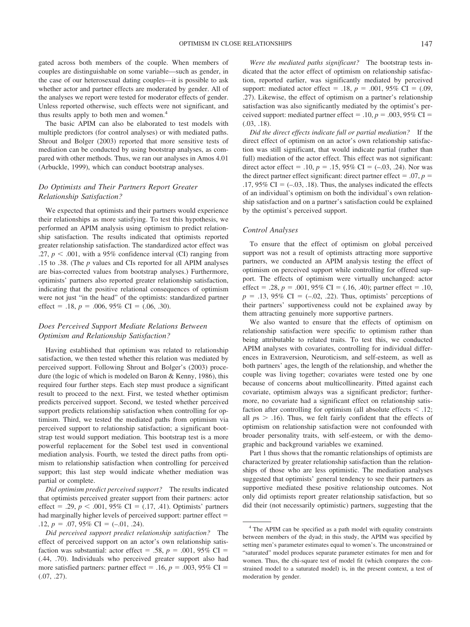gated across both members of the couple. When members of couples are distinguishable on some variable—such as gender, in the case of our heterosexual dating couples—it is possible to ask whether actor and partner effects are moderated by gender. All of the analyses we report were tested for moderator effects of gender. Unless reported otherwise, such effects were not significant, and thus results apply to both men and women.<sup>4</sup>

The basic APIM can also be elaborated to test models with multiple predictors (for control analyses) or with mediated paths. Shrout and Bolger (2003) reported that more sensitive tests of mediation can be conducted by using bootstrap analyses, as compared with other methods. Thus, we ran our analyses in Amos 4.01 (Arbuckle, 1999), which can conduct bootstrap analyses.

## *Do Optimists and Their Partners Report Greater Relationship Satisfaction?*

We expected that optimists and their partners would experience their relationships as more satisfying. To test this hypothesis, we performed an APIM analysis using optimism to predict relationship satisfaction. The results indicated that optimists reported greater relationship satisfaction. The standardized actor effect was .27,  $p < .001$ , with a 95% confidence interval (CI) ranging from .15 to .38. (The *p* values and CIs reported for all APIM analyses are bias-corrected values from bootstrap analyses.) Furthermore, optimists' partners also reported greater relationship satisfaction, indicating that the positive relational consequences of optimism were not just "in the head" of the optimists: standardized partner effect = .18,  $p = .006, 95\%$  CI = (.06, .30).

## *Does Perceived Support Mediate Relations Between Optimism and Relationship Satisfaction?*

Having established that optimism was related to relationship satisfaction, we then tested whether this relation was mediated by perceived support. Following Shrout and Bolger's (2003) procedure (the logic of which is modeled on Baron & Kenny, 1986), this required four further steps. Each step must produce a significant result to proceed to the next. First, we tested whether optimism predicts perceived support. Second, we tested whether perceived support predicts relationship satisfaction when controlling for optimism. Third, we tested the mediated paths from optimism via perceived support to relationship satisfaction; a significant bootstrap test would support mediation. This bootstrap test is a more powerful replacement for the Sobel test used in conventional mediation analysis. Fourth, we tested the direct paths from optimism to relationship satisfaction when controlling for perceived support; this last step would indicate whether mediation was partial or complete.

*Did optimism predict perceived support?* The results indicated that optimists perceived greater support from their partners: actor effect = .29,  $p < .001$ , 95% CI = (.17, .41). Optimists' partners had marginally higher levels of perceived support: partner effect = .12,  $p = .07,95\%$  CI = (-.01, .24).

*Did perceived support predict relationship satisfaction?* The effect of perceived support on an actor's own relationship satisfaction was substantial: actor effect = .58,  $p = .001, 95\%$  CI = (.44, .70). Individuals who perceived greater support also had more satisfied partners: partner effect  $= .16$ ,  $p = .003$ , 95% CI  $=$ (.07, .27).

*Were the mediated paths significant?* The bootstrap tests indicated that the actor effect of optimism on relationship satisfaction, reported earlier, was significantly mediated by perceived support: mediated actor effect = .18,  $p = .001, 95\%$  CI =  $(.09, ...)$ .27). Likewise, the effect of optimism on a partner's relationship satisfaction was also significantly mediated by the optimist's perceived support: mediated partner effect  $= .10, p = .003, 95\%$  CI  $=$ (.03, .18).

*Did the direct effects indicate full or partial mediation?* If the direct effect of optimism on an actor's own relationship satisfaction was still significant, that would indicate partial (rather than full) mediation of the actor effect. This effect was not significant: direct actor effect = .10,  $p = .15$ , 95% CI = (-.03, .24). Nor was the direct partner effect significant: direct partner effect  $= .07, p =$ .17, 95% CI =  $(-.03, .18)$ . Thus, the analyses indicated the effects of an individual's optimism on both the individual's own relationship satisfaction and on a partner's satisfaction could be explained by the optimist's perceived support.

#### *Control Analyses*

To ensure that the effect of optimism on global perceived support was not a result of optimists attracting more supportive partners, we conducted an APIM analysis testing the effect of optimism on perceived support while controlling for offered support. The effects of optimism were virtually unchanged: actor effect = .28,  $p = .001, 95\%$  CI = (.16, .40); partner effect = .10,  $p = .13$ , 95% CI =  $(-.02, .22)$ . Thus, optimists' perceptions of their partners' supportiveness could not be explained away by them attracting genuinely more supportive partners.

We also wanted to ensure that the effects of optimism on relationship satisfaction were specific to optimism rather than being attributable to related traits. To test this, we conducted APIM analyses with covariates, controlling for individual differences in Extraversion, Neuroticism, and self-esteem, as well as both partners' ages, the length of the relationship, and whether the couple was living together; covariates were tested one by one because of concerns about multicollinearity. Pitted against each covariate, optimism always was a significant predictor; furthermore, no covariate had a significant effect on relationship satisfaction after controlling for optimism (all absolute effects  $\lt$  .12; all  $p_s$   $>$  .16). Thus, we felt fairly confident that the effects of optimism on relationship satisfaction were not confounded with broader personality traits, with self-esteem, or with the demographic and background variables we examined.

Part 1 thus shows that the romantic relationships of optimists are characterized by greater relationship satisfaction than the relationships of those who are less optimistic. The mediation analyses suggested that optimists' general tendency to see their partners as supportive mediated these positive relationship outcomes. Not only did optimists report greater relationship satisfaction, but so did their (not necessarily optimistic) partners, suggesting that the

<sup>4</sup> The APIM can be specified as a path model with equality constraints between members of the dyad; in this study, the APIM was specified by setting men's parameter estimates equal to women's. The unconstrained or "saturated" model produces separate parameter estimates for men and for women. Thus, the chi-square test of model fit (which compares the constrained model to a saturated model) is, in the present context, a test of moderation by gender.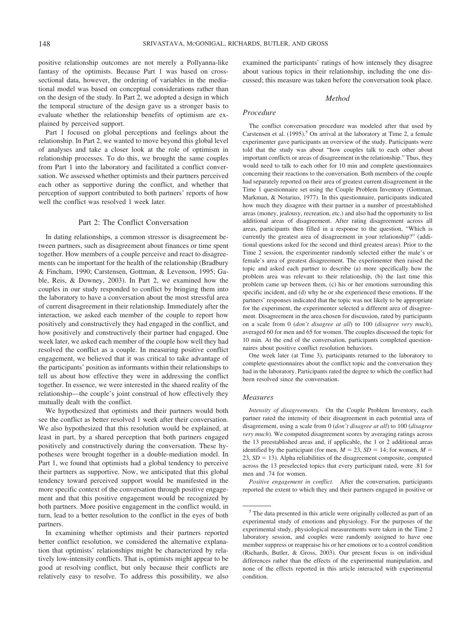positive relationship outcomes are not merely a Pollyanna-like fantasy of the optimists. Because Part 1 was based on crosssectional data, however, the ordering of variables in the mediational model was based on conceptual considerations rather than on the design of the study. In Part 2, we adopted a design in which the temporal structure of the design gave us a stronger basis to evaluate whether the relationship benefits of optimism are explained by perceived support.

Part 1 focused on global perceptions and feelings about the relationship. In Part 2, we wanted to move beyond this global level of analyses and take a closer look at the role of optimism in relationship processes. To do this, we brought the same couples from Part 1 into the laboratory and facilitated a conflict conversation. We assessed whether optimists and their partners perceived each other as supportive during the conflict, and whether that perception of support contributed to both partners' reports of how well the conflict was resolved 1 week later.

## Part 2: The Conflict Conversation

In dating relationships, a common stressor is disagreement between partners, such as disagreement about finances or time spent together. How members of a couple perceive and react to disagreements can be important for the health of the relationship (Bradbury & Fincham, 1990; Carstensen, Gottman, & Levenson, 1995; Gable, Reis, & Downey, 2003). In Part 2, we examined how the couples in our study responded to conflict by bringing them into the laboratory to have a conversation about the most stressful area of current disagreement in their relationship. Immediately after the interaction, we asked each member of the couple to report how positively and constructively they had engaged in the conflict, and how positively and constructively their partner had engaged. One week later, we asked each member of the couple how well they had resolved the conflict as a couple. In measuring positive conflict engagement, we believed that it was critical to take advantage of the participants' position as informants within their relationships to tell us about how effective they were in addressing the conflict together. In essence, we were interested in the shared reality of the relationship—the couple's joint construal of how effectively they mutually dealt with the conflict.

We hypothesized that optimists and their partners would both see the conflict as better resolved 1 week after their conversation. We also hypothesized that this resolution would be explained, at least in part, by a shared perception that both partners engaged positively and constructively during the conversation. These hypotheses were brought together in a double-mediation model. In Part 1, we found that optimists had a global tendency to perceive their partners as supportive. Now, we anticipated that this global tendency toward perceived support would be manifested in the more specific context of the conversation through positive engagement and that this positive engagement would be recognized by both partners. More positive engagement in the conflict would, in turn, lead to a better resolution to the conflict in the eyes of both partners.

In examining whether optimists and their partners reported better conflict resolution, we considered the alternative explanation that optimists' relationships might be characterized by relatively low-intensity conflicts. That is, optimists might appear to be good at resolving conflict, but only because their conflicts are relatively easy to resolve. To address this possibility, we also examined the participants' ratings of how intensely they disagree about various topics in their relationship, including the one discussed; this measure was taken before the conversation took place.

#### *Method*

#### *Procedure*

The conflict conversation procedure was modeled after that used by Carstensen et al.  $(1995)$ <sup>5</sup> On arrival at the laboratory at Time 2, a female experimenter gave participants an overview of the study. Participants were told that the study was about "how couples talk to each other about important conflicts or areas of disagreement in the relationship." Thus, they would need to talk to each other for 10 min and complete questionnaires concerning their reactions to the conversation. Both members of the couple had separately reported on their area of greatest current disagreement in the Time 1 questionnaire set using the Couple Problem Inventory (Gottman, Markman, & Notarius, 1977). In this questionnaire, participants indicated how much they disagree with their partner in a number of preestablished areas (money, jealousy, recreation, etc.) and also had the opportunity to list additional areas of disagreement. After rating disagreement across all areas, participants then filled in a response to the question, "Which is currently the greatest area of disagreement in your relationship?" (additional questions asked for the second and third greatest areas). Prior to the Time 2 session, the experimenter randomly selected either the male's or female's area of greatest disagreement. The experimenter then raised the topic and asked each partner to describe (a) more specifically how the problem area was relevant to their relationship, (b) the last time this problem came up between them, (c) his or her emotions surrounding this specific incident, and (d) why he or she experienced these emotions. If the partners' responses indicated that the topic was not likely to be appropriate for the experiment, the experimenter selected a different area of disagreement. Disagreement in the area chosen for discussion, rated by participants on a scale from 0 (*don't disagree at all*) to 100 (*disagree very much*), averaged 60 for men and 65 for women. The couples discussed the topic for 10 min. At the end of the conversation, participants completed questionnaires about positive conflict resolution behaviors.

One week later (at Time 3), participants returned to the laboratory to complete questionnaires about the conflict topic and the conversation they had in the laboratory. Participants rated the degree to which the conflict had been resolved since the conversation.

#### *Measures*

*Intensity of disagreements.* On the Couple Problem Inventory, each partner rated the intensity of their disagreement in each potential area of disagreement, using a scale from 0 (*don't disagree at all*) to 100 (*disagree very much*). We computed disagreement scores by averaging ratings across the 13 preestablished areas and, if applicable, the 1 or 2 additional areas identified by the participant (for men,  $M = 23$ ,  $SD = 14$ ; for women,  $M =$ 23,  $SD = 13$ ). Alpha reliabilities of the disagreement composite, computed across the 13 preselected topics that every participant rated, were .81 for men and .74 for women.

*Positive engagement in conflict.* After the conversation, participants reported the extent to which they and their partners engaged in positive or

<sup>5</sup> The data presented in this article were originally collected as part of an experimental study of emotions and physiology. For the purposes of the experimental study, physiological measurements were taken in the Time 2 laboratory session, and couples were randomly assigned to have one member suppress or reappraise his or her emotions or to a control condition (Richards, Butler, & Gross, 2003). Our present focus is on individual differences rather than the effects of the experimental manipulation, and none of the effects reported in this article interacted with experimental condition.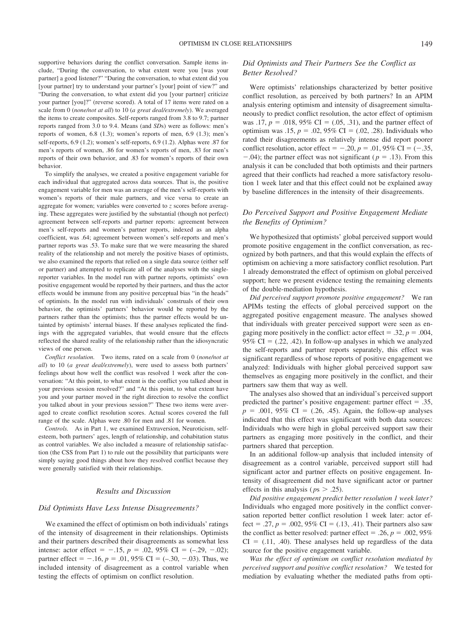supportive behaviors during the conflict conversation. Sample items include, "During the conversation, to what extent were you [was your partner] a good listener?" "During the conversation, to what extent did you [your partner] try to understand your partner's [your] point of view?" and "During the conversation, to what extent did you [your partner] criticize your partner [you]?" (reverse scored). A total of 17 items were rated on a scale from 0 (*none/not at all*) to 10 (*a great deal/extremely*). We averaged the items to create composites. Self-reports ranged from 3.8 to 9.7; partner reports ranged from 3.0 to 9.4. Means (and *SD*s) were as follows: men's reports of women, 6.8 (1.3); women's reports of men, 6.9 (1.3); men's self-reports, 6.9 (1.2); women's self-reports, 6.9 (1.2). Alphas were .87 for men's reports of women, .86 for women's reports of men, .83 for men's reports of their own behavior, and .83 for women's reports of their own behavior.

To simplify the analyses, we created a positive engagement variable for each individual that aggregated across data sources. That is, the positive engagement variable for men was an average of the men's self-reports with women's reports of their male partners, and vice versa to create an aggregate for women; variables were converted to *z* scores before averaging. These aggregates were justified by the substantial (though not perfect) agreement between self-reports and partner reports: agreement between men's self-reports and women's partner reports, indexed as an alpha coefficient, was .64; agreement between women's self-reports and men's partner reports was .53. To make sure that we were measuring the shared reality of the relationship and not merely the positive biases of optimists, we also examined the reports that relied on a single data source (either self or partner) and attempted to replicate all of the analyses with the singlereporter variables. In the model run with partner reports, optimists' own positive engagement would be reported by their partners, and thus the actor effects would be immune from any positive perceptual bias "in the heads" of optimists. In the model run with individuals' construals of their own behavior, the optimists' partners' behavior would be reported by the partners rather than the optimists; thus the partner effects would be untainted by optimists' internal biases. If these analyses replicated the findings with the aggregated variables, that would ensure that the effects reflected the shared reality of the relationship rather than the idiosyncratic views of one person.

*Conflict resolution.* Two items, rated on a scale from 0 (*none/not at all*) to 10 (*a great deal/extremely*), were used to assess both partners' feelings about how well the conflict was resolved 1 week after the conversation: "At this point, to what extent is the conflict you talked about in your previous session resolved?" and "At this point, to what extent have you and your partner moved in the right direction to resolve the conflict you talked about in your previous session?" These two items were averaged to create conflict resolution scores. Actual scores covered the full range of the scale. Alphas were .80 for men and .81 for women.

*Controls.* As in Part 1, we examined Extraversion, Neuroticism, selfesteem, both partners' ages, length of relationship, and cohabitation status as control variables. We also included a measure of relationship satisfaction (the CSS from Part 1) to rule out the possibility that participants were simply saying good things about how they resolved conflict because they were generally satisfied with their relationships.

#### *Results and Discussion*

#### *Did Optimists Have Less Intense Disagreements?*

We examined the effect of optimism on both individuals' ratings of the intensity of disagreement in their relationships. Optimists and their partners described their disagreements as somewhat less intense: actor effect =  $-.15$ ,  $p = .02$ ,  $95\%$  CI =  $(-.29, -.02)$ ; partner effect  $=$  -.16,  $p = .01$ , 95% CI  $=$  (-.30, -.03). Thus, we included intensity of disagreement as a control variable when testing the effects of optimism on conflict resolution.

## *Did Optimists and Their Partners See the Conflict as Better Resolved?*

Were optimists' relationships characterized by better positive conflict resolution, as perceived by both partners? In an APIM analysis entering optimism and intensity of disagreement simultaneously to predict conflict resolution, the actor effect of optimism was .17,  $p = .018$ , 95% CI = (.05, .31), and the partner effect of optimism was .15,  $p = .02, 95\%$  CI =  $(.02, .28)$ . Individuals who rated their disagreements as relatively intense did report poorer conflict resolution, actor effect  $= -.20, p = .01, 95\%$  CI  $= (-.35,$  $-0.04$ ); the partner effect was not significant ( $p = .13$ ). From this analysis it can be concluded that both optimists and their partners agreed that their conflicts had reached a more satisfactory resolution 1 week later and that this effect could not be explained away by baseline differences in the intensity of their disagreements.

## *Do Perceived Support and Positive Engagement Mediate the Benefits of Optimism?*

We hypothesized that optimists' global perceived support would promote positive engagement in the conflict conversation, as recognized by both partners, and that this would explain the effects of optimism on achieving a more satisfactory conflict resolution. Part 1 already demonstrated the effect of optimism on global perceived support; here we present evidence testing the remaining elements of the double-mediation hypothesis.

*Did perceived support promote positive engagement?* We ran APIMs testing the effects of global perceived support on the aggregated positive engagement measure. The analyses showed that individuals with greater perceived support were seen as engaging more positively in the conflict: actor effect  $= .32, p = .004,$ 95% CI =  $(.22, .42)$ . In follow-up analyses in which we analyzed the self-reports and partner reports separately, this effect was significant regardless of whose reports of positive engagement we analyzed: Individuals with higher global perceived support saw themselves as engaging more positively in the conflict, and their partners saw them that way as well.

The analyses also showed that an individual's perceived support predicted the partner's positive engagement: partner effect  $= .35$ ,  $p = .001, 95\% \text{ CI} = (.26, .45).$  Again, the follow-up analyses indicated that this effect was significant with both data sources: Individuals who were high in global perceived support saw their partners as engaging more positively in the conflict, and their partners shared that perception.

In an additional follow-up analysis that included intensity of disagreement as a control variable, perceived support still had significant actor and partner effects on positive engagement. Intensity of disagreement did not have significant actor or partner effects in this analysis ( $p_s > .25$ ).

*Did positive engagement predict better resolution 1 week later?* Individuals who engaged more positively in the conflict conversation reported better conflict resolution 1 week later: actor effect = .27,  $p = .002, 95\%$  CI = (.13, .41). Their partners also saw the conflict as better resolved: partner effect  $= .26$ ,  $p = .002, 95\%$  $CI = (0.11, 0.40)$ . These analyses held up regardless of the data source for the positive engagement variable.

*Was the effect of optimism on conflict resolution mediated by perceived support and positive conflict resolution?* We tested for mediation by evaluating whether the mediated paths from opti-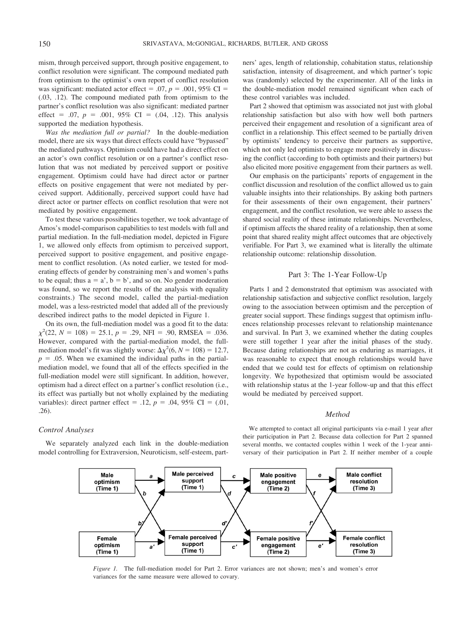mism, through perceived support, through positive engagement, to conflict resolution were significant. The compound mediated path from optimism to the optimist's own report of conflict resolution was significant: mediated actor effect  $= .07$ ,  $p = .001$ , 95% CI  $=$ (.03, .12). The compound mediated path from optimism to the partner's conflict resolution was also significant: mediated partner effect = .07,  $p = .001$ , 95% CI =  $(.04, .12)$ . This analysis supported the mediation hypothesis.

*Was the mediation full or partial?* In the double-mediation model, there are six ways that direct effects could have "bypassed" the mediated pathways. Optimism could have had a direct effect on an actor's own conflict resolution or on a partner's conflict resolution that was not mediated by perceived support or positive engagement. Optimism could have had direct actor or partner effects on positive engagement that were not mediated by perceived support. Additionally, perceived support could have had direct actor or partner effects on conflict resolution that were not mediated by positive engagement.

To test these various possibilities together, we took advantage of Amos's model-comparison capabilities to test models with full and partial mediation. In the full-mediation model, depicted in Figure 1, we allowed only effects from optimism to perceived support, perceived support to positive engagement, and positive engagement to conflict resolution. (As noted earlier, we tested for moderating effects of gender by constraining men's and women's paths to be equal; thus  $a = a'$ ,  $b = b'$ , and so on. No gender moderation was found, so we report the results of the analysis with equality constraints.) The second model, called the partial-mediation model, was a less-restricted model that added all of the previously described indirect paths to the model depicted in Figure 1.

On its own, the full-mediation model was a good fit to the data:  $\chi^2$ (22, *N* = 108) = 25.1, *p* = .29, NFI = .90, RMSEA = .036. However, compared with the partial-mediation model, the fullmediation model's fit was slightly worse:  $\Delta \chi^2(6, N = 108) = 12.7$ ,  $p = 0.05$ . When we examined the individual paths in the partialmediation model, we found that all of the effects specified in the full-mediation model were still significant. In addition, however, optimism had a direct effect on a partner's conflict resolution (i.e., its effect was partially but not wholly explained by the mediating variables): direct partner effect = .12,  $p = .04$ , 95% CI =  $(.01)$ , .26).

#### *Control Analyses*

We separately analyzed each link in the double-mediation model controlling for Extraversion, Neuroticism, self-esteem, partners' ages, length of relationship, cohabitation status, relationship satisfaction, intensity of disagreement, and which partner's topic was (randomly) selected by the experimenter. All of the links in the double-mediation model remained significant when each of these control variables was included.

Part 2 showed that optimism was associated not just with global relationship satisfaction but also with how well both partners perceived their engagement and resolution of a significant area of conflict in a relationship. This effect seemed to be partially driven by optimists' tendency to perceive their partners as supportive, which not only led optimists to engage more positively in discussing the conflict (according to both optimists and their partners) but also elicited more positive engagement from their partners as well.

Our emphasis on the participants' reports of engagement in the conflict discussion and resolution of the conflict allowed us to gain valuable insights into their relationships. By asking both partners for their assessments of their own engagement, their partners' engagement, and the conflict resolution, we were able to assess the shared social reality of these intimate relationships. Nevertheless, if optimism affects the shared reality of a relationship, then at some point that shared reality might affect outcomes that are objectively verifiable. For Part 3, we examined what is literally the ultimate relationship outcome: relationship dissolution.

#### Part 3: The 1-Year Follow-Up

Parts 1 and 2 demonstrated that optimism was associated with relationship satisfaction and subjective conflict resolution, largely owing to the association between optimism and the perception of greater social support. These findings suggest that optimism influences relationship processes relevant to relationship maintenance and survival. In Part 3, we examined whether the dating couples were still together 1 year after the initial phases of the study. Because dating relationships are not as enduring as marriages, it was reasonable to expect that enough relationships would have ended that we could test for effects of optimism on relationship longevity. We hypothesized that optimism would be associated with relationship status at the 1-year follow-up and that this effect would be mediated by perceived support.

#### *Method*

We attempted to contact all original participants via e-mail 1 year after their participation in Part 2. Because data collection for Part 2 spanned several months, we contacted couples within 1 week of the 1-year anniversary of their participation in Part 2. If neither member of a couple



*Figure 1.* The full-mediation model for Part 2. Error variances are not shown; men's and women's error variances for the same measure were allowed to covary.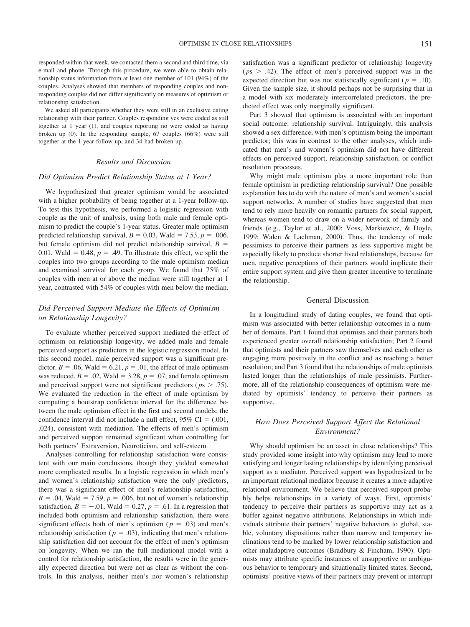responded within that week, we contacted them a second and third time, via e-mail and phone. Through this procedure, we were able to obtain relationship status information from at least one member of 101 (94%) of the couples. Analyses showed that members of responding couples and nonresponding couples did not differ significantly on measures of optimism or relationship satisfaction.

We asked all participants whether they were still in an exclusive dating relationship with their partner. Couples responding yes were coded as still together at 1 year (1), and couples reporting no were coded as having broken up (0). In the responding sample, 67 couples (66%) were still together at the 1-year follow-up, and 34 had broken up.

#### *Results and Discussion*

#### *Did Optimism Predict Relationship Status at 1 Year?*

We hypothesized that greater optimism would be associated with a higher probability of being together at a 1-year follow-up. To test this hypothesis, we performed a logistic regression with couple as the unit of analysis, using both male and female optimism to predict the couple's 1-year status. Greater male optimism predicted relationship survival,  $B = 0.03$ , Wald = 7.53,  $p = .006$ , but female optimism did not predict relationship survival, *B* 0.01, Wald  $= 0.48$ ,  $p = .49$ . To illustrate this effect, we split the couples into two groups according to the male optimism median and examined survival for each group. We found that 75% of couples with men at or above the median were still together at 1 year, contrasted with 54% of couples with men below the median.

## *Did Perceived Support Mediate the Effects of Optimism on Relationship Longevity?*

To evaluate whether perceived support mediated the effect of optimism on relationship longevity, we added male and female perceived support as predictors in the logistic regression model. In this second model, male perceived support was a significant predictor,  $B = .06$ , Wald = 6.21,  $p = .01$ , the effect of male optimism was reduced,  $B = .02$ , Wald = 3.28,  $p = .07$ , and female optimism and perceived support were not significant predictors ( $p_s > .75$ ). We evaluated the reduction in the effect of male optimism by computing a bootstrap confidence interval for the difference between the male optimism effect in the first and second models; the confidence interval did not include a null effect,  $95\%$  CI =  $(.001, ...)$ .024), consistent with mediation. The effects of men's optimism and perceived support remained significant when controlling for both partners' Extraversion, Neuroticism, and self-esteem.

Analyses controlling for relationship satisfaction were consistent with our main conclusions, though they yielded somewhat more complicated results. In a logistic regression in which men's and women's relationship satisfaction were the only predictors, there was a significant effect of men's relationship satisfaction,  $B = .04$ , Wald = 7.59,  $p = .006$ , but not of women's relationship satisfaction,  $B = -.01$ , Wald = 0.27,  $p = .61$ . In a regression that included both optimism and relationship satisfaction, there were significant effects both of men's optimism ( $p = .03$ ) and men's relationship satisfaction ( $p = .03$ ), indicating that men's relationship satisfaction did not account for the effect of men's optimism on longevity. When we ran the full mediational model with a control for relationship satisfaction, the results were in the generally expected direction but were not as clear as without the controls. In this analysis, neither men's nor women's relationship

satisfaction was a significant predictor of relationship longevity  $(ps > .42)$ . The effect of men's perceived support was in the expected direction but was not statistically significant ( $p = .10$ ). Given the sample size, it should perhaps not be surprising that in a model with six moderately intercorrelated predictors, the predicted effect was only marginally significant.

Part 3 showed that optimism is associated with an important social outcome: relationship survival. Intriguingly, this analysis showed a sex difference, with men's optimism being the important predictor; this was in contrast to the other analyses, which indicated that men's and women's optimism did not have different effects on perceived support, relationship satisfaction, or conflict resolution processes.

Why might male optimism play a more important role than female optimism in predicting relationship survival? One possible explanation has to do with the nature of men's and women's social support networks. A number of studies have suggested that men tend to rely more heavily on romantic partners for social support, whereas women tend to draw on a wider network of family and friends (e.g., Taylor et al., 2000; Voss, Markiewicz, & Doyle, 1999; Walen & Lachman, 2000). Thus, the tendency of male pessimists to perceive their partners as less supportive might be especially likely to produce shorter lived relationships, because for men, negative perceptions of their partners would implicate their entire support system and give them greater incentive to terminate the relationship.

#### General Discussion

In a longitudinal study of dating couples, we found that optimism was associated with better relationship outcomes in a number of domains. Part 1 found that optimists and their partners both experienced greater overall relationship satisfaction; Part 2 found that optimists and their partners saw themselves and each other as engaging more positively in the conflict and as reaching a better resolution; and Part 3 found that the relationships of male optimists lasted longer than the relationships of male pessimists. Furthermore, all of the relationship consequences of optimism were mediated by optimists' tendency to perceive their partners as supportive.

## *How Does Perceived Support Affect the Relational Environment?*

Why should optimism be an asset in close relationships? This study provided some insight into why optimism may lead to more satisfying and longer lasting relationships by identifying perceived support as a mediator. Perceived support was hypothesized to be an important relational mediator because it creates a more adaptive relational environment. We believe that perceived support probably helps relationships in a variety of ways. First, optimists' tendency to perceive their partners as supportive may act as a buffer against negative attributions. Relationships in which individuals attribute their partners' negative behaviors to global, stable, voluntary dispositions rather than narrow and temporary inclinations tend to be marked by lower relationship satisfaction and other maladaptive outcomes (Bradbury & Fincham, 1990). Optimists may attribute specific instances of unsupportive or ambiguous behavior to temporary and situationally limited states. Second, optimists' positive views of their partners may prevent or interrupt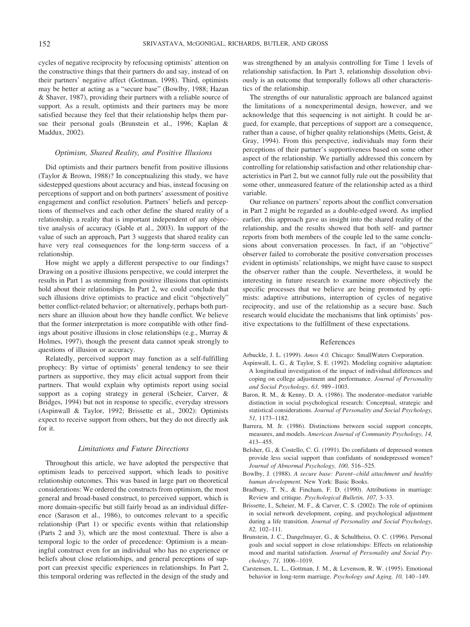cycles of negative reciprocity by refocusing optimists' attention on the constructive things that their partners do and say, instead of on their partners' negative affect (Gottman, 1998). Third, optimists may be better at acting as a "secure base" (Bowlby, 1988; Hazan & Shaver, 1987), providing their partners with a reliable source of support. As a result, optimists and their partners may be more satisfied because they feel that their relationship helps them pursue their personal goals (Brunstein et al., 1996; Kaplan & Maddux, 2002).

#### *Optimism, Shared Reality, and Positive Illusions*

Did optimists and their partners benefit from positive illusions (Taylor & Brown, 1988)? In conceptualizing this study, we have sidestepped questions about accuracy and bias, instead focusing on perceptions of support and on both partners' assessment of positive engagement and conflict resolution. Partners' beliefs and perceptions of themselves and each other define the shared reality of a relationship, a reality that is important independent of any objective analysis of accuracy (Gable et al., 2003). In support of the value of such an approach, Part 3 suggests that shared reality can have very real consequences for the long-term success of a relationship.

How might we apply a different perspective to our findings? Drawing on a positive illusions perspective, we could interpret the results in Part 1 as stemming from positive illusions that optimists hold about their relationships. In Part 2, we could conclude that such illusions drive optimists to practice and elicit "objectively" better conflict-related behavior; or alternatively, perhaps both partners share an illusion about how they handle conflict. We believe that the former interpretation is more compatible with other findings about positive illusions in close relationships (e.g., Murray & Holmes, 1997), though the present data cannot speak strongly to questions of illusion or accuracy.

Relatedly, perceived support may function as a self-fulfilling prophecy: By virtue of optimists' general tendency to see their partners as supportive, they may elicit actual support from their partners. That would explain why optimists report using social support as a coping strategy in general (Scheier, Carver, & Bridges, 1994) but not in response to specific, everyday stressors (Aspinwall & Taylor, 1992; Brissette et al., 2002): Optimists expect to receive support from others, but they do not directly ask for it.

#### *Limitations and Future Directions*

Throughout this article, we have adopted the perspective that optimism leads to perceived support, which leads to positive relationship outcomes. This was based in large part on theoretical considerations: We ordered the constructs from optimism, the most general and broad-based construct, to perceived support, which is more domain-specific but still fairly broad as an individual difference (Sarason et al., 1986), to outcomes relevant to a specific relationship (Part 1) or specific events within that relationship (Parts 2 and 3), which are the most contextual. There is also a temporal logic to the order of precedence: Optimism is a meaningful construct even for an individual who has no experience or beliefs about close relationships, and general perceptions of support can preexist specific experiences in relationships. In Part 2, this temporal ordering was reflected in the design of the study and

was strengthened by an analysis controlling for Time 1 levels of relationship satisfaction. In Part 3, relationship dissolution obviously is an outcome that temporally follows all other characteristics of the relationship.

The strengths of our naturalistic approach are balanced against the limitations of a nonexperimental design, however, and we acknowledge that this sequencing is not airtight. It could be argued, for example, that perceptions of support are a consequence, rather than a cause, of higher quality relationships (Metts, Geist, & Gray, 1994). From this perspective, individuals may form their perceptions of their partner's supportiveness based on some other aspect of the relationship. We partially addressed this concern by controlling for relationship satisfaction and other relationship characteristics in Part 2, but we cannot fully rule out the possibility that some other, unmeasured feature of the relationship acted as a third variable.

Our reliance on partners' reports about the conflict conversation in Part 2 might be regarded as a double-edged sword. As implied earlier, this approach gave us insight into the shared reality of the relationship, and the results showed that both self- and partner reports from both members of the couple led to the same conclusions about conversation processes. In fact, if an "objective" observer failed to corroborate the positive conversation processes evident in optimists' relationships, we might have cause to suspect the observer rather than the couple. Nevertheless, it would be interesting in future research to examine more objectively the specific processes that we believe are being promoted by optimists: adaptive attributions, interruption of cycles of negative reciprocity, and use of the relationship as a secure base. Such research would elucidate the mechanisms that link optimists' positive expectations to the fulfillment of these expectations.

#### References

Arbuckle, J. L. (1999). *Amos 4.0.* Chicago: SmallWaters Corporation.

- Aspinwall, L. G., & Taylor, S. E. (1992). Modeling cognitive adaptation: A longitudinal investigation of the impact of individual differences and coping on college adjustment and performance. *Journal of Personality and Social Psychology, 63,* 989 –1003.
- Baron, R. M., & Kenny, D. A. (1986). The moderator–mediator variable distinction in social psychological research: Conceptual, strategic and statistical considerations. *Journal of Personality and Social Psychology, 51,* 1173–1182.
- Barrera, M. Jr. (1986). Distinctions between social support concepts, measures, and models. *American Journal of Community Psychology, 14,* 413– 455.
- Belsher, G., & Costello, C. G. (1991). Do confidants of depressed women provide less social support than confidants of nondepressed women? *Journal of Abnormal Psychology, 100,* 516 –525.
- Bowlby, J. (1988). *A secure base: Parent– child attachment and healthy human development.* New York: Basic Books.
- Bradbury, T. N., & Fincham, F. D. (1990). Attributions in marriage: Review and critique. *Psychological Bulletin, 107,* 3–33.
- Brissette, I., Scheier, M. F., & Carver, C. S. (2002). The role of optimism in social network development, coping, and psychological adjustment during a life transition. *Journal of Personality and Social Psychology, 82,* 102–111.
- Brunstein, J. C., Dangelmayer, G., & Schultheiss, O. C. (1996). Personal goals and social support in close relationships: Effects on relationship mood and marital satisfaction. *Journal of Personality and Social Psychology, 71,* 1006 –1019.
- Carstensen, L. L., Gottman, J. M., & Levenson, R. W. (1995). Emotional behavior in long-term marriage. *Psychology and Aging, 10,* 140–149.